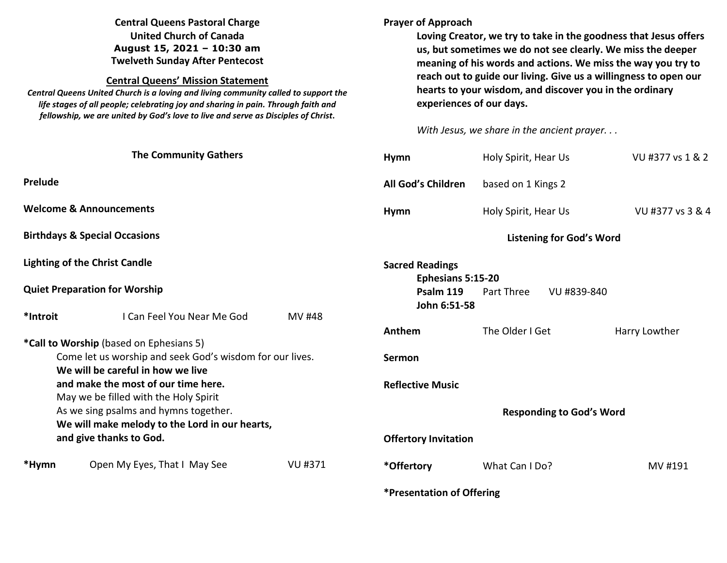## **Central Queens Pastoral Charge United Church of Canada August 15, 2021 – 10:30 am Twelveth Sunday After Pentecost**

#### **Central Queens' Mission Statement**

 *Central Queens United Church is a loving and living community called to support the life stages of all people; celebrating joy and sharing in pain. Through faith and fellowship, we are united by God's love to live and serve as Disciples of Christ***.** 

## **Prayer of Approach**

**Loving Creator, we try to take in the goodness that Jesus offers us, but sometimes we do not see clearly. We miss the deeper meaning of his words and actions. We miss the way you try to reach out to guide our living. Give us a willingness to open our hearts to your wisdom, and discover you in the ordinary experiences of our days.** 

*With Jesus, we share in the ancient prayer. . .*

|                                                          | <b>The Community Gathers</b>                   |                | <b>Hymn</b>                     | Holy Spirit, Hear Us      | VU #377 vs 1 & 2 |
|----------------------------------------------------------|------------------------------------------------|----------------|---------------------------------|---------------------------|------------------|
| Prelude                                                  |                                                |                | All God's Children              | based on 1 Kings 2        |                  |
| <b>Welcome &amp; Announcements</b>                       |                                                |                | <b>Hymn</b>                     | Holy Spirit, Hear Us      | VU #377 vs 3 & 4 |
| <b>Birthdays &amp; Special Occasions</b>                 |                                                |                | <b>Listening for God's Word</b> |                           |                  |
|                                                          | <b>Lighting of the Christ Candle</b>           |                | <b>Sacred Readings</b>          |                           |                  |
|                                                          |                                                |                | Ephesians 5:15-20               |                           |                  |
|                                                          | <b>Quiet Preparation for Worship</b>           |                | Psalm 119                       | VU #839-840<br>Part Three |                  |
|                                                          |                                                |                | John 6:51-58                    |                           |                  |
| *Introit                                                 | I Can Feel You Near Me God                     | MV #48         |                                 |                           |                  |
|                                                          |                                                |                | Anthem                          | The Older I Get           | Harry Lowther    |
|                                                          | *Call to Worship (based on Ephesians 5)        |                |                                 |                           |                  |
| Come let us worship and seek God's wisdom for our lives. |                                                |                | Sermon                          |                           |                  |
|                                                          | We will be careful in how we live              |                |                                 |                           |                  |
| and make the most of our time here.                      |                                                |                | <b>Reflective Music</b>         |                           |                  |
|                                                          | May we be filled with the Holy Spirit          |                |                                 |                           |                  |
| As we sing psalms and hymns together.                    |                                                |                | <b>Responding to God's Word</b> |                           |                  |
|                                                          | We will make melody to the Lord in our hearts, |                |                                 |                           |                  |
| and give thanks to God.                                  |                                                |                | <b>Offertory Invitation</b>     |                           |                  |
| *Hymn                                                    | Open My Eyes, That I May See                   | <b>VU #371</b> | *Offertory                      | What Can I Do?            | MV #191          |
|                                                          |                                                |                | *Presentation of Offering       |                           |                  |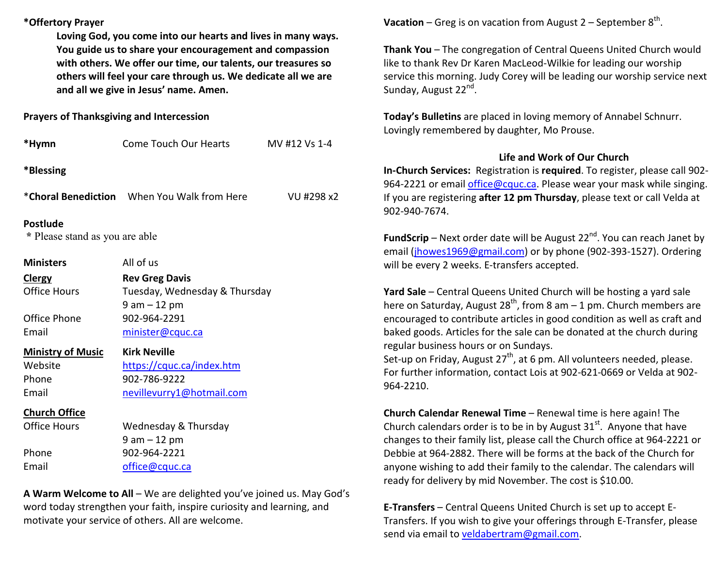## **\*Offertory Prayer**

**Loving God, you come into our hearts and lives in many ways. You guide us to share your encouragement and compassion with others. We offer our time, our talents, our treasures so others will feel your care through us. We dedicate all we are and all we give in Jesus' name. Amen.** 

## **Prayers of Thanksgiving and Intercession**

| *Hymn                                             | <b>Come Touch Our Hearts</b>                                              | MV #12 Vs 1-4 |  |  |  |  |
|---------------------------------------------------|---------------------------------------------------------------------------|---------------|--|--|--|--|
| *Blessing                                         |                                                                           |               |  |  |  |  |
|                                                   | *Choral Benediction When You Walk from Here                               | VU #298 x2    |  |  |  |  |
| <b>Postlude</b><br>* Please stand as you are able |                                                                           |               |  |  |  |  |
| <b>Ministers</b>                                  | All of us                                                                 |               |  |  |  |  |
| <b>Clergy</b><br><b>Office Hours</b>              | <b>Rev Greg Davis</b><br>Tuesday, Wednesday & Thursday<br>$9$ am $-12$ pm |               |  |  |  |  |
| Office Phone<br>Email                             | 902-964-2291<br>minister@cquc.ca                                          |               |  |  |  |  |
| <b>Ministry of Music</b>                          | <b>Kirk Neville</b>                                                       |               |  |  |  |  |
| Website<br>Phone<br>Email                         | https://cquc.ca/index.htm<br>902-786-9222<br>nevillevurry1@hotmail.com    |               |  |  |  |  |
| <b>Church Office</b>                              |                                                                           |               |  |  |  |  |
| <b>Office Hours</b>                               | Wednesday & Thursday<br>$9 am - 12 pm$                                    |               |  |  |  |  |
| Phone                                             | 902-964-2221                                                              |               |  |  |  |  |
| Email                                             | office@cquc.ca                                                            |               |  |  |  |  |

**A Warm Welcome to All** – We are delighted you've joined us. May God's word today strengthen your faith, inspire curiosity and learning, and motivate your service of others. All are welcome.

**Vacation** – Greg is on vacation from August  $2$  – September  $8<sup>th</sup>$ .

**Thank You** – The congregation of Central Queens United Church would like to thank Rev Dr Karen MacLeod-Wilkie for leading our worship service this morning. Judy Corey will be leading our worship service next Sunday, August 22<sup>nd</sup>.

**Today's Bulletins** are placed in loving memory of Annabel Schnurr. Lovingly remembered by daughter, Mo Prouse.

# **Life and Work of Our Church**

 **In-Church Services:** Registration is **required**. To register, please call 902-964-2221 or email *office@cquc.ca*. Please wear your mask while singing. If you are registering **after 12 pm Thursday**, please text or call Velda at 902-940-7674.

**FundScrip** – Next order date will be August 22<sup>nd</sup>. You can reach Janet by email (jhowes1969@gmail.com) or by phone (902-393-1527). Ordering will be every 2 weeks. E-transfers accepted.

**Yard Sale** – Central Queens United Church will be hosting a yard sale here on Saturday, August 28<sup>th</sup>, from 8 am – 1 pm. Church members are encouraged to contribute articles in good condition as well as craft and baked goods. Articles for the sale can be donated at the church during regular business hours or on Sundays.

Set-up on Friday, August 27<sup>th</sup>, at 6 pm. All volunteers needed, please. For further information, contact Lois at 902-621-0669 or Velda at 902-964-2210.

**Church Calendar Renewal Time** – Renewal time is here again! The Church calendars order is to be in by August 31<sup>st</sup>. Anyone that have changes to their family list, please call the Church office at 964-2221 or Debbie at 964-2882. There will be forms at the back of the Church for anyone wishing to add their family to the calendar. The calendars will ready for delivery by mid November. The cost is \$10.00.

**E-Transfers** – Central Queens United Church is set up to accept E-Transfers. If you wish to give your offerings through E-Transfer, please send via email to veldabertram@gmail.com.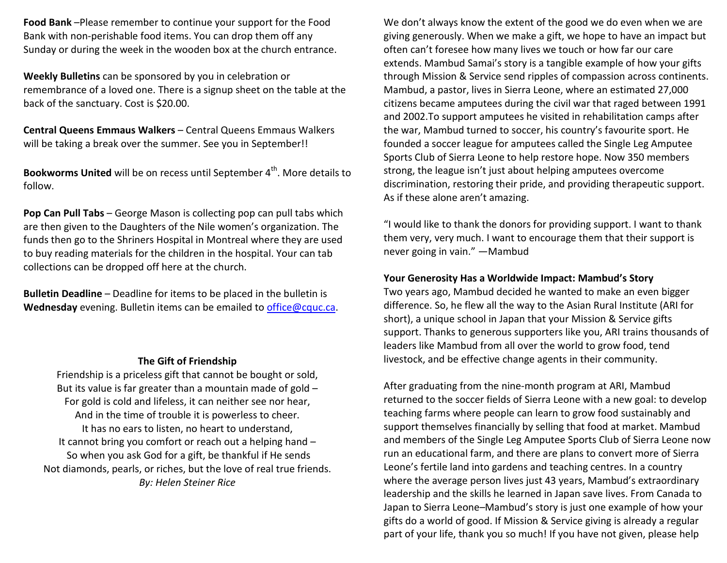**Food Bank** –Please remember to continue your support for the Food Bank with non-perishable food items. You can drop them off any Sunday or during the week in the wooden box at the church entrance.

**Weekly Bulletins** can be sponsored by you in celebration or remembrance of a loved one. There is a signup sheet on the table at the back of the sanctuary. Cost is \$20.00.

**Central Queens Emmaus Walkers** – Central Queens Emmaus Walkers will be taking a break over the summer. See you in September!!

**Bookworms United** will be on recess until September 4<sup>th</sup>. More details to follow.

**Pop Can Pull Tabs** – George Mason is collecting pop can pull tabs which are then given to the Daughters of the Nile women's organization. The funds then go to the Shriners Hospital in Montreal where they are used to buy reading materials for the children in the hospital. Your can tab collections can be dropped off here at the church.

**Bulletin Deadline** – Deadline for items to be placed in the bulletin is **Wednesday** evening. Bulletin items can be emailed to office@cquc.ca.

#### **The Gift of Friendship**

 Friendship is a priceless gift that cannot be bought or sold, But its value is far greater than a mountain made of gold  $-$ For gold is cold and lifeless, it can neither see nor hear, And in the time of trouble it is powerless to cheer. It has no ears to listen, no heart to understand, It cannot bring you comfort or reach out a helping hand – So when you ask God for a gift, be thankful if He sends Not diamonds, pearls, or riches, but the love of real true friends. *By: Helen Steiner Rice* 

We don't always know the extent of the good we do even when we are giving generously. When we make a gift, we hope to have an impact but often can't foresee how many lives we touch or how far our care extends. Mambud Samai's story is a tangible example of how your gifts through Mission & Service send ripples of compassion across continents. Mambud, a pastor, lives in Sierra Leone, where an estimated 27,000 citizens became amputees during the civil war that raged between 1991 and 2002.To support amputees he visited in rehabilitation camps after the war, Mambud turned to soccer, his country's favourite sport. He founded a soccer league for amputees called the Single Leg Amputee Sports Club of Sierra Leone to help restore hope. Now 350 members strong, the league isn't just about helping amputees overcome discrimination, restoring their pride, and providing therapeutic support. As if these alone aren't amazing.

"I would like to thank the donors for providing support. I want to thank them very, very much. I want to encourage them that their support is never going in vain." —Mambud

#### **Your Generosity Has a Worldwide Impact: Mambud's Story**

 Two years ago, Mambud decided he wanted to make an even bigger difference. So, he flew all the way to the Asian Rural Institute (ARI for short), a unique school in Japan that your Mission & Service gifts support. Thanks to generous supporters like you, ARI trains thousands of leaders like Mambud from all over the world to grow food, tend livestock, and be effective change agents in their community.

After graduating from the nine-month program at ARI, Mambud returned to the soccer fields of Sierra Leone with a new goal: to develop teaching farms where people can learn to grow food sustainably and support themselves financially by selling that food at market. Mambud and members of the Single Leg Amputee Sports Club of Sierra Leone now run an educational farm, and there are plans to convert more of Sierra Leone's fertile land into gardens and teaching centres. In a country where the average person lives just 43 years, Mambud's extraordinary leadership and the skills he learned in Japan save lives. From Canada to Japan to Sierra Leone–Mambud's story is just one example of how your gifts do a world of good. If Mission & Service giving is already a regular part of your life, thank you so much! If you have not given, please help